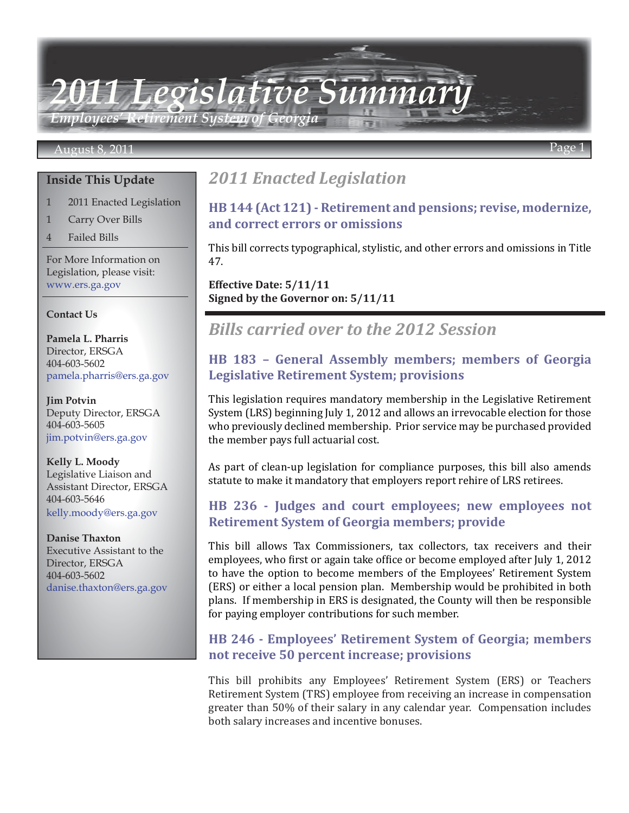*2011 Legislative Summary Employees' Retirement System of Georgia*

#### August 8, 2011 Page 1

#### **Inside This Update**

- 1 2011 Enacted Legislation
- 1 Carry Over Bills
- 4 Failed Bills

For More Information on Legislation, please visit: www.ers.ga.gov

#### **Contact Us**

**Pamela L. Pharris** Director, ERSGA 404-603-5602 pamela.pharris@ers.ga.gov

**Jim Potvin** Deputy Director, ERSGA 404-603-5605 jim.potvin@ers.ga.gov

**Kelly L. Moody** Legislative Liaison and Assistant Director, ERSGA 404-603-5646 kelly.moody@ers.ga.gov

**Danise Thaxton** Executive Assistant to the Director, ERSGA 404-603-5602 danise.thaxton@ers.ga.gov

# *2011 Enacted Legislation*

# **[HB 144 \(Act 121\) - Retirement and pensions; revise, modernize,](http://www.legis.ga.gov/Legislation/20112012/116257.pdf)  and correct errors or omissions**

This bill corrects typographical, stylistic, and other errors and omissions in Title 47.

**Effective Date: 5/11/11 Signed by the Governor on: 5/11/11**

# *Bills carried over to the 2012 Session*

# **[HB 183 – General Assembly members; members of Georgia](http://www.legis.ga.gov/Legislation/20112012/109222.pdf)  Legislative Retirement System; provisions**

This legislation requires mandatory membership in the Legislative Retirement System (LRS) beginning July 1, 2012 and allows an irrevocable election for those who previously declined membership. Prior service may be purchased provided the member pays full actuarial cost.

As part of clean-up legislation for compliance purposes, this bill also amends statute to make it mandatory that employers report rehire of LRS retirees.

# **[HB 236 - Judges and court employees; new employees not](http://www.legis.ga.gov/Legislation/20112012/109740.pdf)  Retirement System of Georgia members; provide**

This bill allows Tax Commissioners, tax collectors, tax receivers and their employees, who first or again take office or become employed after July 1, 2012 to have the option to become members of the Employees' Retirement System (ERS) or either a local pension plan. Membership would be prohibited in both plans. If membership in ERS is designated, the County will then be responsible for paying employer contributions for such member.

# **[HB 246 - Employees' Retirement System of Georgia; members](http://www.legis.ga.gov/Legislation/20112012/109854.pdf)  not receive 50 percent increase; provisions**

This bill prohibits any Employees' Retirement System (ERS) or Teachers Retirement System (TRS) employee from receiving an increase in compensation greater than 50% of their salary in any calendar year. Compensation includes both salary increases and incentive bonuses.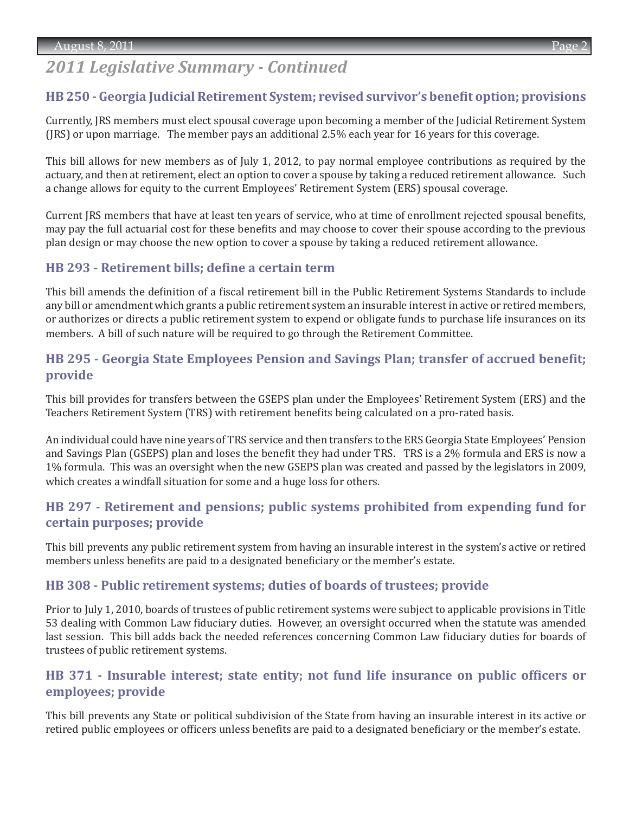# *2011 Legislative Summary - Continued*

#### **[HB 250 - Georgia Judicial Retirement System; revised survivor's benefit option; provisions](http://www.legis.ga.gov/Legislation/20112012/109928.pdf)**

Currently, JRS members must elect spousal coverage upon becoming a member of the Judicial Retirement System (JRS) or upon marriage. The member pays an additional 2.5% each year for 16 years for this coverage.

This bill allows for new members as of July 1, 2012, to pay normal employee contributions as required by the actuary, and then at retirement, elect an option to cover a spouse by taking a reduced retirement allowance. Such a change allows for equity to the current Employees' Retirement System (ERS) spousal coverage.

Current JRS members that have at least ten years of service, who at time of enrollment rejected spousal benefits, may pay the full actuarial cost for these benefits and may choose to cover their spouse according to the previous plan design or may choose the new option to cover a spouse by taking a reduced retirement allowance.

#### **[HB 293 - Retirement bills; define a certain term](http://www.legis.ga.gov/Legislation/20112012/110554.pdf)**

This bill amends the definition of a fiscal retirement bill in the Public Retirement Systems Standards to include any bill or amendment which grants a public retirement system an insurable interest in active or retired members, or authorizes or directs a public retirement system to expend or obligate funds to purchase life insurances on its members. A bill of such nature will be required to go through the Retirement Committee.

# **[HB 295 - Georgia State Employees Pension and Savings Plan; transfer of accrued benefit;](http://www.legis.ga.gov/Legislation/20112012/110559.pdf)  provide**

This bill provides for transfers between the GSEPS plan under the Employees' Retirement System (ERS) and the Teachers Retirement System (TRS) with retirement benefits being calculated on a pro-rated basis.

An individual could have nine years of TRS service and then transfers to the ERS Georgia State Employees' Pension and Savings Plan (GSEPS) plan and loses the benefit they had under TRS. TRS is a 2% formula and ERS is now a 1% formula. This was an oversight when the new GSEPS plan was created and passed by the legislators in 2009, which creates a windfall situation for some and a huge loss for others.

# **[HB 297 - Retirement and pensions; public systems prohibited from expending fund for](http://www.legis.ga.gov/Legislation/20112012/110561.pdf)  certain purposes; provide**

This bill prevents any public retirement system from having an insurable interest in the system's active or retired members unless benefits are paid to a designated beneficiary or the member's estate.

#### **[HB 308 - Public retirement systems; duties of boards of trustees; provide](http://www.legis.ga.gov/Legislation/20112012/113001.pdf)**

Prior to July 1, 2010, boards of trustees of public retirement systems were subject to applicable provisions in Title 53 dealing with Common Law fiduciary duties. However, an oversight occurred when the statute was amended last session. This bill adds back the needed references concerning Common Law fiduciary duties for boards of trustees of public retirement systems.

### **[HB 371 - Insurable interest; state entity; not fund life insurance on public officers or](http://www.legis.ga.gov/Legislation/20112012/111160.pdf)  employees; provide**

This bill prevents any State or political subdivision of the State from having an insurable interest in its active or retired public employees or officers unless benefits are paid to a designated beneficiary or the member's estate.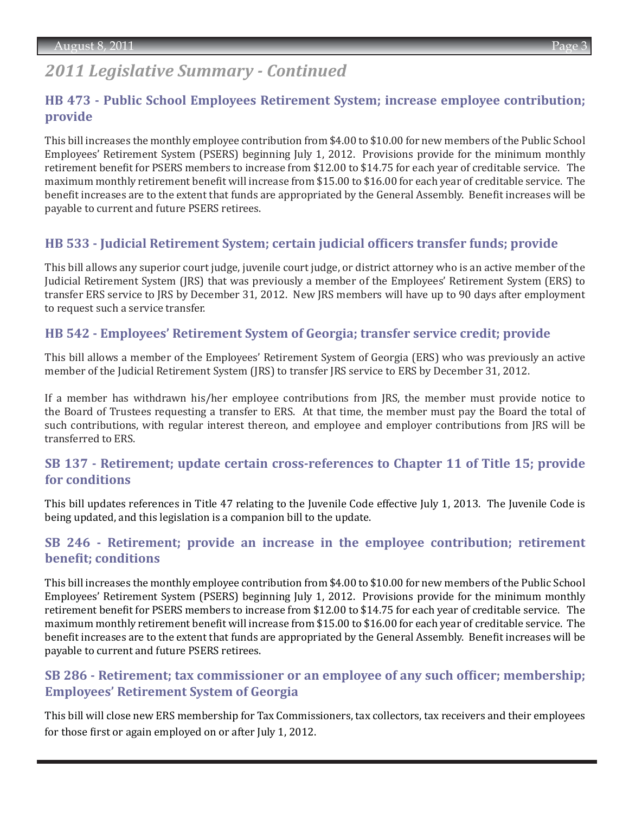# *2011 Legislative Summary - Continued*

# **[HB 473 - Public School Employees Retirement System; increase employee contribution;](http://www.legis.ga.gov/Legislation/20112012/112226.pdf)  provide**

This bill increases the monthly employee contribution from \$4.00 to \$10.00 for new members of the Public School Employees' Retirement System (PSERS) beginning July 1, 2012. Provisions provide for the minimum monthly retirement benefit for PSERS members to increase from \$12.00 to \$14.75 for each year of creditable service. The maximum monthly retirement benefit will increase from \$15.00 to \$16.00 for each year of creditable service. The benefit increases are to the extent that funds are appropriated by the General Assembly. Benefit increases will be payable to current and future PSERS retirees.

# **[HB 533 - Judicial Retirement System; certain judicial officers transfer funds; provide](http://www.legis.ga.gov/Legislation/20112012/112997.pdf)**

This bill allows any superior court judge, juvenile court judge, or district attorney who is an active member of the Judicial Retirement System (JRS) that was previously a member of the Employees' Retirement System (ERS) to transfer ERS service to JRS by December 31, 2012. New JRS members will have up to 90 days after employment to request such a service transfer.

# **[HB 542 - Employees' Retirement System of Georgia; transfer service credit; provide](http://www.legis.ga.gov/Legislation/20112012/113184.pdf)**

This bill allows a member of the Employees' Retirement System of Georgia (ERS) who was previously an active member of the Judicial Retirement System (JRS) to transfer JRS service to ERS by December 31, 2012.

If a member has withdrawn his/her employee contributions from JRS, the member must provide notice to the Board of Trustees requesting a transfer to ERS. At that time, the member must pay the Board the total of such contributions, with regular interest thereon, and employee and employer contributions from JRS will be transferred to ERS.

# **[SB 137 - Retirement; update certain cross-references to Chapter 11 of Title 15; provide](http://www.legis.ga.gov/Legislation/20112012/110865.pdf)  for conditions**

This bill updates references in Title 47 relating to the Juvenile Code effective July 1, 2013. The Juvenile Code is being updated, and this legislation is a companion bill to the update.

# **[SB 246 - Retirement; provide an increase in the employee contribution; retirement](http://www.legis.ga.gov/Legislation/20112012/112436.pdf)  benefit; conditions**

This bill increases the monthly employee contribution from \$4.00 to \$10.00 for new members of the Public School Employees' Retirement System (PSERS) beginning July 1, 2012. Provisions provide for the minimum monthly retirement benefit for PSERS members to increase from \$12.00 to \$14.75 for each year of creditable service. The maximum monthly retirement benefit will increase from \$15.00 to \$16.00 for each year of creditable service. The benefit increases are to the extent that funds are appropriated by the General Assembly. Benefit increases will be payable to current and future PSERS retirees.

# **[SB 286 - Retirement; tax commissioner or an employee of any such officer; membership;](http://www.legis.ga.gov/Legislation/20112012/116245.pdf) Employees' Retirement System of Georgia**

This bill will close new ERS membership for Tax Commissioners, tax collectors, tax receivers and their employees for those first or again employed on or after July 1, 2012.